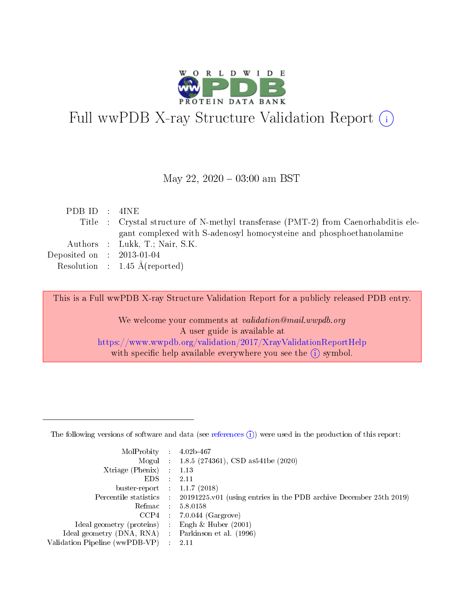

# Full wwPDB X-ray Structure Validation Report (i)

#### May 22,  $2020 - 03:00$  am BST

| PDB ID : 4INE               |                                                                                    |
|-----------------------------|------------------------------------------------------------------------------------|
|                             | Title : Crystal structure of N-methyl transferase (PMT-2) from Caenorhabditis ele- |
|                             | gant complexed with S-adenosyl homocysteine and phosphoethanolamine                |
|                             | Authors : Lukk, T.; Nair, S.K.                                                     |
| Deposited on : $2013-01-04$ |                                                                                    |
|                             | Resolution : $1.45 \text{ Å}$ (reported)                                           |
|                             |                                                                                    |

This is a Full wwPDB X-ray Structure Validation Report for a publicly released PDB entry.

We welcome your comments at validation@mail.wwpdb.org A user guide is available at <https://www.wwpdb.org/validation/2017/XrayValidationReportHelp> with specific help available everywhere you see the  $(i)$  symbol.

The following versions of software and data (see [references](https://www.wwpdb.org/validation/2017/XrayValidationReportHelp#references)  $(1)$ ) were used in the production of this report:

| MolProbity                     | $\mathcal{L}_{\rm{max}}$ | $4.02b - 467$                                                                |
|--------------------------------|--------------------------|------------------------------------------------------------------------------|
|                                |                          | Mogul : $1.8.5$ (274361), CSD as 541be (2020)                                |
| $X$ triage (Phenix) :          |                          | 1.13                                                                         |
| EDS.                           |                          | 2.11                                                                         |
| buster-report : $1.1.7$ (2018) |                          |                                                                              |
| Percentile statistics :        |                          | $20191225 \text{ v}01$ (using entries in the PDB archive December 25th 2019) |
| Refmac                         |                          | 5.8.0158                                                                     |
| $CCP4$ :                       |                          | $7.0.044$ (Gargrove)                                                         |
| Ideal geometry (proteins) :    |                          | Engh $\&$ Huber (2001)                                                       |
| Ideal geometry (DNA, RNA) :    |                          | Parkinson et al. (1996)                                                      |
| Validation Pipeline (wwPDB-VP) | $\mathcal{L}$            | -2.11                                                                        |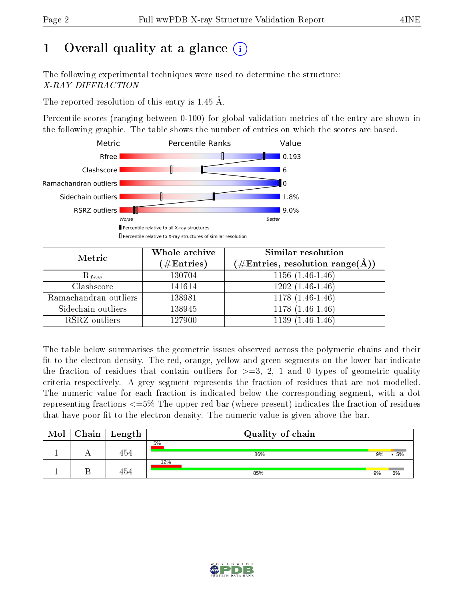# 1 [O](https://www.wwpdb.org/validation/2017/XrayValidationReportHelp#overall_quality)verall quality at a glance  $(i)$

The following experimental techniques were used to determine the structure: X-RAY DIFFRACTION

The reported resolution of this entry is 1.45 Å.

Percentile scores (ranging between 0-100) for global validation metrics of the entry are shown in the following graphic. The table shows the number of entries on which the scores are based.



| Metric                | Whole archive<br>$(\#\text{Entries})$ | Similar resolution<br>$(\#\text{Entries}, \text{resolution range}(\text{\AA}))$ |
|-----------------------|---------------------------------------|---------------------------------------------------------------------------------|
| $R_{free}$            | 130704                                | $1156(1.46-1.46)$                                                               |
| Clashscore            | 141614                                | $1202(1.46-1.46)$                                                               |
| Ramachandran outliers | 138981                                | $\overline{1178}$ $(1.46-1.46)$                                                 |
| Sidechain outliers    | 138945                                | $1178(1.46-1.46)$                                                               |
| RSRZ outliers         | 127900                                | $1139(1.46-1.46)$                                                               |

The table below summarises the geometric issues observed across the polymeric chains and their fit to the electron density. The red, orange, yellow and green segments on the lower bar indicate the fraction of residues that contain outliers for  $>=3, 2, 1$  and 0 types of geometric quality criteria respectively. A grey segment represents the fraction of residues that are not modelled. The numeric value for each fraction is indicated below the corresponding segment, with a dot representing fractions  $\epsilon=5\%$  The upper red bar (where present) indicates the fraction of residues that have poor fit to the electron density. The numeric value is given above the bar.

| Mol | $Chain$ Length | Quality of chain |    |    |
|-----|----------------|------------------|----|----|
|     | 454            | 5%<br>86%        | 9% | 5% |
|     | 454            | 12%<br>85%       | 9% | 6% |

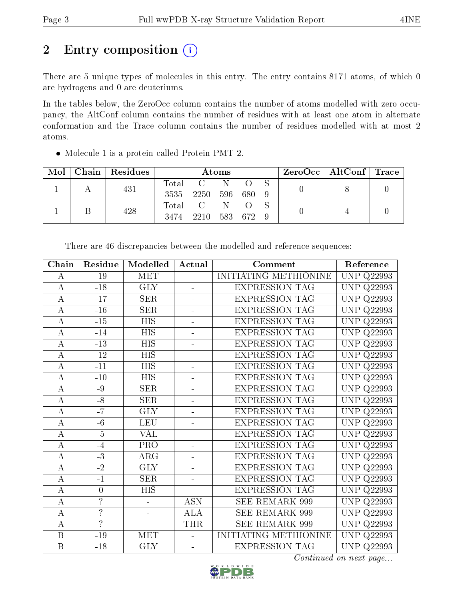# 2 Entry composition (i)

There are 5 unique types of molecules in this entry. The entry contains 8171 atoms, of which 0 are hydrogens and 0 are deuteriums.

In the tables below, the ZeroOcc column contains the number of atoms modelled with zero occupancy, the AltConf column contains the number of residues with at least one atom in alternate conformation and the Trace column contains the number of residues modelled with at most 2 atoms.

| Mol |     | Chain   Residues | Atoms |         |         |  |  | ZeroOcc   AltConf   Trace |  |
|-----|-----|------------------|-------|---------|---------|--|--|---------------------------|--|
|     |     |                  | Total |         | 'N.     |  |  |                           |  |
|     | 431 | 3535             | -2250 |         | 596 680 |  |  |                           |  |
|     |     | 428              | Total |         | N.      |  |  |                           |  |
|     |     | 3474             | 2210  | 583 672 |         |  |  |                           |  |

Molecule 1 is a protein called Protein PMT-2.

| Chain            | Residue                  | Modelled                 | Actual                   | Comment               | Reference            |
|------------------|--------------------------|--------------------------|--------------------------|-----------------------|----------------------|
| А                | $-19$                    | <b>MET</b>               |                          | INITIATING METHIONINE | <b>UNP Q22993</b>    |
| $\boldsymbol{A}$ | $-18$                    | <b>GLY</b>               |                          | <b>EXPRESSION TAG</b> | <b>UNP Q22993</b>    |
| A                | $-17$                    | <b>SER</b>               |                          | <b>EXPRESSION TAG</b> | <b>UNP Q22993</b>    |
| $\boldsymbol{A}$ | $-16$                    | SER                      |                          | <b>EXPRESSION TAG</b> | <b>UNP Q22993</b>    |
| $\boldsymbol{A}$ | $-15$                    | HIS                      | $\blacksquare$           | <b>EXPRESSION TAG</b> | <b>UNP Q22993</b>    |
| $\overline{A}$   | $-14$                    | <b>HIS</b>               | ÷                        | <b>EXPRESSION TAG</b> | UNP<br>Q22993        |
| $\boldsymbol{A}$ | $-13$                    | <b>HIS</b>               | $\blacksquare$           | <b>EXPRESSION TAG</b> | UNP Q22993           |
| $\boldsymbol{A}$ | $-12$                    | <b>HIS</b>               |                          | <b>EXPRESSION TAG</b> | UNP<br>Q22993        |
| $\bf{A}$         | $-11$                    | <b>HIS</b>               |                          | <b>EXPRESSION TAG</b> | UNP<br>Q22993        |
| $\boldsymbol{A}$ | $-10$                    | <b>HIS</b>               |                          | <b>EXPRESSION TAG</b> | <b>UNP</b><br>Q22993 |
| $\boldsymbol{A}$ | -9                       | <b>SER</b>               |                          | <b>EXPRESSION TAG</b> | UNP<br>Q22993        |
| $\bf{A}$         | $-8$                     | <b>SER</b>               |                          | <b>EXPRESSION TAG</b> | UNP<br>Q22993        |
| $\boldsymbol{A}$ | $-7$                     | <b>GLY</b>               | $\overline{\phantom{a}}$ | <b>EXPRESSION TAG</b> | UNP<br>Q22993        |
| $\boldsymbol{A}$ | $-6$                     | <b>LEU</b>               | $\overline{a}$           | <b>EXPRESSION TAG</b> | <b>UNP Q22993</b>    |
| $\boldsymbol{A}$ | $-5$                     | VAL                      | $\blacksquare$           | <b>EXPRESSION TAG</b> | UNP<br>Q22993        |
| $\boldsymbol{A}$ | $-4$                     | PRO                      | $\blacksquare$           | <b>EXPRESSION TAG</b> | UNP Q22993           |
| $\boldsymbol{A}$ | $-3$                     | ARG                      |                          | <b>EXPRESSION TAG</b> | UNP<br>Q22993        |
| $\bf{A}$         | $-2$                     | <b>GLY</b>               |                          | <b>EXPRESSION TAG</b> | UNP<br>Q22993        |
| $\boldsymbol{A}$ | $-1$                     | <b>SER</b>               | $\blacksquare$           | <b>EXPRESSION TAG</b> | <b>UNP</b><br>Q22993 |
| $\boldsymbol{A}$ | $\boldsymbol{0}$         | <b>HIS</b>               |                          | <b>EXPRESSION TAG</b> | UNP Q22993           |
| $\bf{A}$         | $\overline{\cdot}$       |                          | <b>ASN</b>               | SEE REMARK 999        | UNP<br>Q22993        |
| $\boldsymbol{A}$ | $\ddot{?}$               | $\blacksquare$           | <b>ALA</b>               | <b>SEE REMARK 999</b> | UNP<br>Q22993        |
| $\bf{A}$         | $\overline{\mathcal{L}}$ | $\overline{\phantom{0}}$ | <b>THR</b>               | <b>SEE REMARK 999</b> | UNP Q22993           |
| $\mathbf B$      | $-19$                    | MET                      | $\blacksquare$           | INITIATING METHIONINE | <b>UNP</b><br>Q22993 |
| $\boldsymbol{B}$ | $-18$                    | <b>GLY</b>               | $\frac{1}{2}$            | <b>EXPRESSION TAG</b> | UNP Q22993           |

There are 46 discrepancies between the modelled and reference sequences:

Continued on next page...

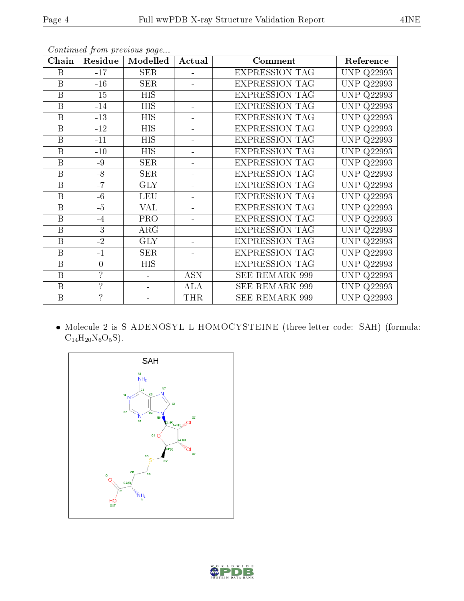|--|

| Chain                   | Residue                  | Modelled   | Actual                   | Comment               | Reference            |
|-------------------------|--------------------------|------------|--------------------------|-----------------------|----------------------|
| B                       | $-17$                    | <b>SER</b> |                          | <b>EXPRESSION TAG</b> | <b>UNP Q22993</b>    |
| B                       | $-16$                    | <b>SER</b> |                          | <b>EXPRESSION TAG</b> | <b>UNP</b><br>Q22993 |
| B                       | $-15$                    | HIS        | $\blacksquare$           | <b>EXPRESSION TAG</b> | <b>UNP Q22993</b>    |
| B                       | $-14$                    | <b>HIS</b> | $\blacksquare$           | <b>EXPRESSION TAG</b> | <b>UNP Q22993</b>    |
| $\overline{\mathrm{B}}$ | $-13$                    | <b>HIS</b> | $\overline{\phantom{0}}$ | <b>EXPRESSION TAG</b> | UNP<br>Q22993        |
| B                       | $-12$                    | <b>HIS</b> | $\blacksquare$           | <b>EXPRESSION TAG</b> | <b>UNP Q22993</b>    |
| $\mathbf B$             | $-11$                    | HIS        | $\equiv$                 | <b>EXPRESSION TAG</b> | <b>UNP Q22993</b>    |
| B                       | $-10$                    | <b>HIS</b> |                          | <b>EXPRESSION TAG</b> | <b>UNP Q22993</b>    |
| B                       | $-9$                     | <b>SER</b> | $\blacksquare$           | <b>EXPRESSION TAG</b> | <b>UNP Q22993</b>    |
| B                       | $-8$                     | <b>SER</b> | L,                       | <b>EXPRESSION TAG</b> | <b>UNP Q22993</b>    |
| B                       | $-7$                     | <b>GLY</b> | -                        | <b>EXPRESSION TAG</b> | <b>UNP Q22993</b>    |
| $\overline{\mathrm{B}}$ | $-6$                     | LEU        | $\overline{\phantom{0}}$ | <b>EXPRESSION TAG</b> | UNP<br>Q22993        |
| $\overline{B}$          | $-5$                     | <b>VAL</b> |                          | <b>EXPRESSION TAG</b> | <b>UNP Q22993</b>    |
| B                       | $-4$                     | <b>PRO</b> | ÷.                       | <b>EXPRESSION TAG</b> | <b>UNP Q22993</b>    |
| $\overline{B}$          | $-3$                     | ARG        | ÷.                       | <b>EXPRESSION TAG</b> | <b>UNP Q22993</b>    |
| B                       | $-2$                     | <b>GLY</b> | ÷.                       | <b>EXPRESSION TAG</b> | <b>UNP Q22993</b>    |
| B                       | $-1$                     | <b>SER</b> | $\blacksquare$           | <b>EXPRESSION TAG</b> | <b>UNP Q22993</b>    |
| B                       | $\overline{0}$           | HIS        | $\overline{\phantom{0}}$ | <b>EXPRESSION TAG</b> | <b>UNP Q22993</b>    |
| B                       | $\overline{\mathcal{L}}$ |            | <b>ASN</b>               | <b>SEE REMARK 999</b> | <b>UNP</b><br>Q22993 |
| B                       | $\overline{?}$           |            | ALA                      | SEE REMARK 999        | <b>UNP Q22993</b>    |
| B                       | $\overline{?}$           |            | <b>THR</b>               | <b>SEE REMARK 999</b> | <b>UNP Q22993</b>    |

Continued from previous page...

 Molecule 2 is S-ADENOSYL-L-HOMOCYSTEINE (three-letter code: SAH) (formula:  $C_{14}H_{20}N_6O_5S$ ).



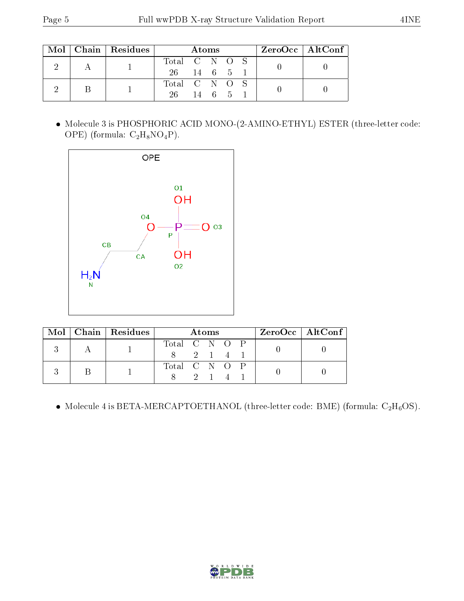| Mol |  | $\mid$ Chain $\mid$ Residues $\mid$ |               |                      | Atoms |  | $ZeroOcc$   AltConf |  |  |  |
|-----|--|-------------------------------------|---------------|----------------------|-------|--|---------------------|--|--|--|
|     |  |                                     | Total C N O S |                      |       |  |                     |  |  |  |
|     |  | 26 -                                | 14 6 5 1      |                      |       |  |                     |  |  |  |
|     |  |                                     |               | Total C N O S        |       |  |                     |  |  |  |
|     |  | 26.                                 |               | $14 \quad 6 \quad 5$ |       |  |                     |  |  |  |

 Molecule 3 is PHOSPHORIC ACID MONO-(2-AMINO-ETHYL) ESTER (three-letter code: OPE) (formula:  $C_2H_8NO_4P$ ).



| Mol |  | $\vert$ Chain $\vert$ Residues | <b>Atoms</b>  |       |  |  |  | ZeroOcc   AltConf |  |
|-----|--|--------------------------------|---------------|-------|--|--|--|-------------------|--|
|     |  |                                | Total C N O P |       |  |  |  |                   |  |
|     |  |                                |               | 2 1 4 |  |  |  |                   |  |
|     |  |                                | Total C N O P |       |  |  |  |                   |  |
|     |  |                                |               |       |  |  |  |                   |  |

• Molecule 4 is BETA-MERCAPTOETHANOL (three-letter code: BME) (formula:  $C_2H_6OS$ ).

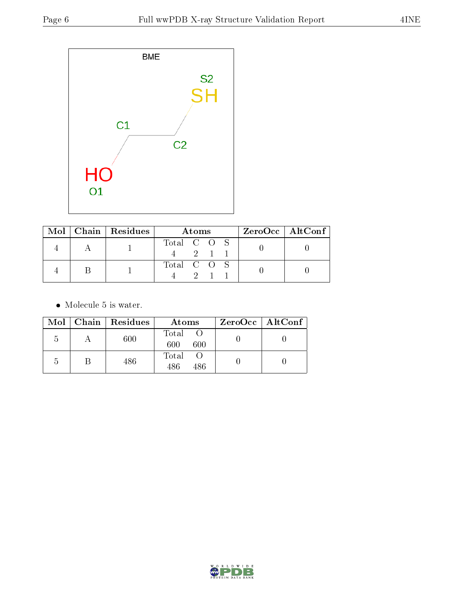

|  | Mol   Chain   Residues | Atoms                   | $ZeroOcc \   \$ AltConf |
|--|------------------------|-------------------------|-------------------------|
|  |                        | Total C O S<br>$-2$ 1 1 |                         |
|  |                        | Total C O S             |                         |

• Molecule 5 is water.

|   | Mol   Chain   Residues | Atoms               | $ZeroOcc \   \ AltConf \  $ |
|---|------------------------|---------------------|-----------------------------|
|   | 600                    | Total<br>600<br>600 |                             |
| 5 | 486                    | Total<br>486<br>486 |                             |

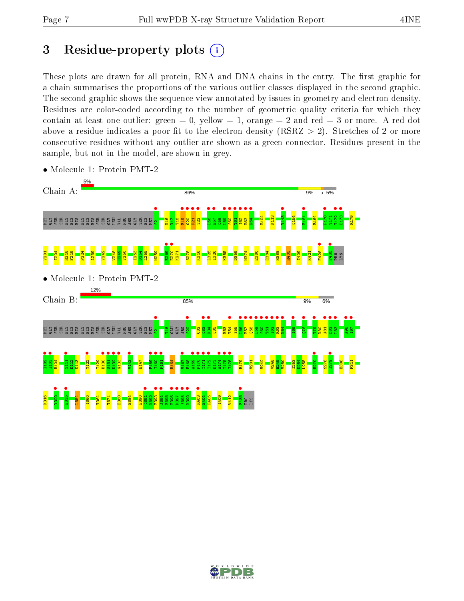# 3 Residue-property plots  $(i)$

These plots are drawn for all protein, RNA and DNA chains in the entry. The first graphic for a chain summarises the proportions of the various outlier classes displayed in the second graphic. The second graphic shows the sequence view annotated by issues in geometry and electron density. Residues are color-coded according to the number of geometric quality criteria for which they contain at least one outlier: green  $= 0$ , yellow  $= 1$ , orange  $= 2$  and red  $= 3$  or more. A red dot above a residue indicates a poor fit to the electron density (RSRZ  $> 2$ ). Stretches of 2 or more consecutive residues without any outlier are shown as a green connector. Residues present in the sample, but not in the model, are shown in grey.



• Molecule 1: Protein PMT-2

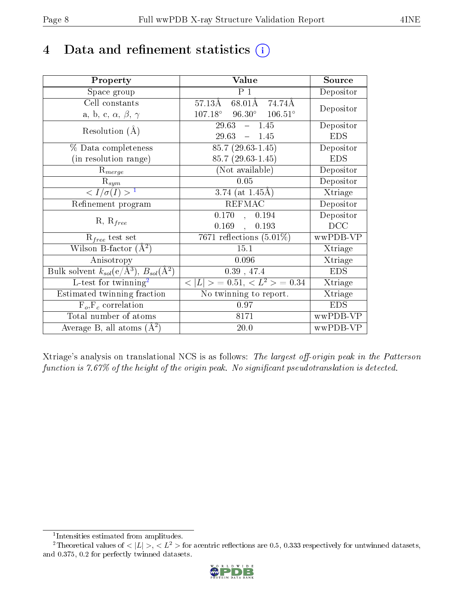# 4 Data and refinement statistics  $(i)$

| Property                                                             | Value                                              | Source                       |
|----------------------------------------------------------------------|----------------------------------------------------|------------------------------|
| Space group                                                          | P <sub>1</sub>                                     | Depositor                    |
| Cell constants                                                       | 68.01Å 74.74Å<br>57.13Å                            | Depositor                    |
| a, b, c, $\alpha$ , $\beta$ , $\gamma$                               | $107.18^\circ$<br>$96.30^{\circ}$ $106.51^{\circ}$ |                              |
| Resolution $(A)$                                                     | 29.63<br>$-1.45$                                   | Depositor                    |
|                                                                      | 29.63<br>$-1.45$                                   | <b>EDS</b>                   |
| % Data completeness                                                  | $85.7(29.63-1.45)$                                 | Depositor                    |
| (in resolution range)                                                | $85.7(29.63-1.45)$                                 | <b>EDS</b>                   |
| $R_{merge}$                                                          | (Not available)                                    | Depositor                    |
| $\mathrm{R}_{sym}$                                                   | 0.05                                               | Depositor                    |
| $\sqrt{I/\sigma(I)} > 1$                                             | 3.74 (at $1.45\text{\AA}$ )                        | Xtriage                      |
| Refinement program                                                   | <b>REFMAC</b>                                      | Depositor                    |
|                                                                      | $0.170$ , $0.194$                                  | Depositor                    |
| $R, R_{free}$                                                        | 0.169,<br>0.193                                    | DCC                          |
| $R_{free}$ test set                                                  | 7671 reflections $(5.01\%)$                        | wwPDB-VP                     |
| Wilson B-factor $(A^2)$                                              | 15.1                                               | Xtriage                      |
| Anisotropy                                                           | 0.096                                              | Xtriage                      |
| Bulk solvent $k_{sol}(e/\mathring{A}^3)$ , $B_{sol}(\mathring{A}^2)$ | $0.39$ , 47.4                                      | <b>EDS</b>                   |
| L-test for twinning <sup>2</sup>                                     | $< L >$ = 0.51, $< L2$ > = 0.34                    | Xtriage                      |
| Estimated twinning fraction                                          | No twinning to report.                             | $\overline{\text{X}}$ triage |
| $\overline{F_o, F_c}$ correlation                                    | 0.97                                               | <b>EDS</b>                   |
| Total number of atoms                                                | 8171                                               | wwPDB-VP                     |
| Average B, all atoms $(A^2)$                                         | 20.0                                               | wwPDB-VP                     |

Xtriage's analysis on translational NCS is as follows: The largest off-origin peak in the Patterson function is  $7.67\%$  of the height of the origin peak. No significant pseudotranslation is detected.

<sup>&</sup>lt;sup>2</sup>Theoretical values of  $\langle |L| \rangle$ ,  $\langle L^2 \rangle$  for acentric reflections are 0.5, 0.333 respectively for untwinned datasets, and 0.375, 0.2 for perfectly twinned datasets.



<span id="page-7-1"></span><span id="page-7-0"></span><sup>1</sup> Intensities estimated from amplitudes.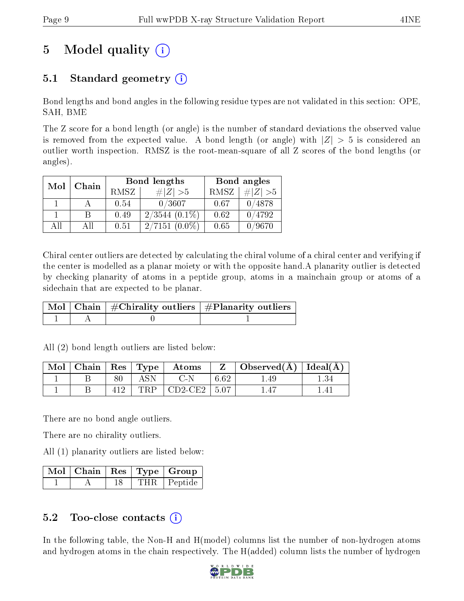# 5 Model quality  $(i)$

### 5.1 Standard geometry  $(i)$

Bond lengths and bond angles in the following residue types are not validated in this section: OPE, SAH, BME

The Z score for a bond length (or angle) is the number of standard deviations the observed value is removed from the expected value. A bond length (or angle) with  $|Z| > 5$  is considered an outlier worth inspection. RMSZ is the root-mean-square of all Z scores of the bond lengths (or angles).

| Mol | Chain |      | Bond lengths     | Bond angles |           |
|-----|-------|------|------------------|-------------|-----------|
|     |       | RMSZ | $\# Z  > 5$      | <b>RMSZ</b> | # $ Z >5$ |
|     |       | 0.54 | 0/3607           | 0.67        | 0/4878    |
|     | B     | 0.49 | $2/3544$ (0.1\%) | 0.62        | 0/4792    |
| AH  | ΑH    | 0.51 | $2/7151(0.0\%)$  | 0.65        | 0/9670    |

Chiral center outliers are detected by calculating the chiral volume of a chiral center and verifying if the center is modelled as a planar moiety or with the opposite hand.A planarity outlier is detected by checking planarity of atoms in a peptide group, atoms in a mainchain group or atoms of a sidechain that are expected to be planar.

|  | Mol   Chain   $\#\text{Chirality outliers}$   $\#\text{Planarity outliers}$ ' |
|--|-------------------------------------------------------------------------------|
|  |                                                                               |

| Mol |  |     | $\top$ Chain   Res   Type   Atoms |      | Observed $(A)$ | $\pm$ Ideal(A) $\pm$ |
|-----|--|-----|-----------------------------------|------|----------------|----------------------|
|     |  |     |                                   | 6.62 | 49.ء           |                      |
|     |  | FRP | $^{\circ}$ CD2-CE2 $^{\circ}$     | 5.07 |                |                      |

All (2) bond length outliers are listed below:

There are no bond angle outliers.

There are no chirality outliers.

All (1) planarity outliers are listed below:

|  |  | $\lceil\,\mathrm{Mol}\hskip.7pt\rceil$ Chain $\mid\mathrm{Res}\hskip.7pt\rceil$ Type $\mid$ Group |
|--|--|---------------------------------------------------------------------------------------------------|
|  |  | THR Peptide                                                                                       |

### 5.2 Too-close contacts  $(i)$

In the following table, the Non-H and H(model) columns list the number of non-hydrogen atoms and hydrogen atoms in the chain respectively. The H(added) column lists the number of hydrogen

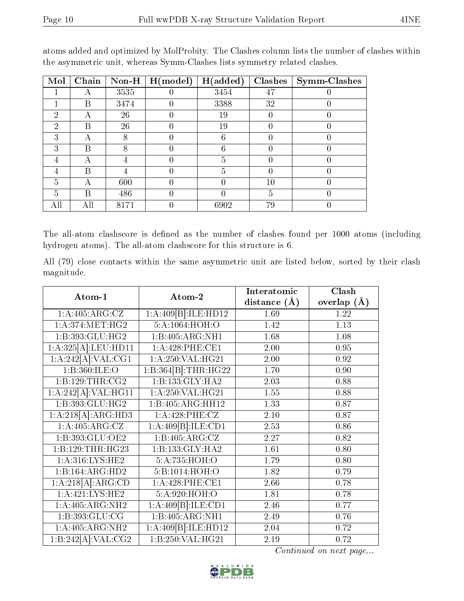| Mol | Chain | $Non-H$ | H (model) | H(added) | <b>Clashes</b> | <b>Symm-Clashes</b> |
|-----|-------|---------|-----------|----------|----------------|---------------------|
|     | А     | 3535    |           | 3454     | 47             |                     |
|     | В     | 3474    |           | 3388     | 32             |                     |
| 2   | А     | 26      |           | 19       |                |                     |
| 2   | В     | 26      |           | 19       |                |                     |
| 3   | А     | 8       |           | 6        |                |                     |
| 3   | В     |         |           | 6        |                |                     |
|     |       |         |           | 5        |                |                     |
|     | В     |         |           | 5        |                |                     |
| 5   | А     | 600     |           |          | $10\,$         |                     |
| 5   | В     | 486     |           |          | 5              |                     |
| All | All   | 8171    |           | 6902     | 79             |                     |

atoms added and optimized by MolProbity. The Clashes column lists the number of clashes within the asymmetric unit, whereas Symm-Clashes lists symmetry related clashes.

The all-atom clashscore is defined as the number of clashes found per 1000 atoms (including hydrogen atoms). The all-atom clashscore for this structure is 6.

All (79) close contacts within the same asymmetric unit are listed below, sorted by their clash magnitude.

|                                        |                              | Interatomic    | Clash         |
|----------------------------------------|------------------------------|----------------|---------------|
| Atom-1                                 | Atom-2                       | distance $(A)$ | overlap $(A)$ |
| 1:A:405:ARG:CZ                         | 1:A:409[B]:ILE:HD12          | 1.69           | 1.22          |
| 1: A:374:MET:HG2                       | 5:A:1064:HOH:O               | 1.42           | 1.13          |
| 1:B:393:GLU:HG2                        | $1:B:405:ARG:\overline{NH1}$ | 1.68           | 1.08          |
| 1:A:325[A]:LEU:HDI1                    | 1:A:428:PHE:CE1              | 2.00           | 0.95          |
| 1:A:242[A]:VAL:CG1                     | 1:A:250:VAL:HG21             | 2.00           | 0.92          |
| 1: B:360: ILE:O                        | 1:B:364[B]:THR:HG22          | 1.70           | 0.90          |
| 1: B: 129: THR: CG2                    | 1:B:133:GLY:HA2              | 2.03           | 0.88          |
| $1:A:242[A]:\overline{VAL:HG11}$       | 1:A:250:VAL:HG21             | 1.55           | 0.88          |
| 1: B: 393: GLU: HG2                    | 1:B:405:ARG:HH12             | 1.33           | 0.87          |
| 1:A:218[A]:ARG:HD3                     | 1:A:428:PHE:CZ               | 2.10           | 0.87          |
| 1:A:405:ARG:CZ                         | 1:A:409[B]:ILE:CD1           | 2.53           | 0.86          |
| 1:B:393:GLU:OE2                        | 1:B:405:ARG:CZ               | 2.27           | 0.82          |
| 1:B:129:THR:HG23                       | 1:B:133:GLY:HA2              | 1.61           | 0.80          |
| 1: A:316: LYS: HE2                     | 5:A:735:HOH:O                | 1.79           | 0.80          |
| 1:B:164:ARG:HD2                        | 5:B:1014:HOH:O               | 1.82           | 0.79          |
| 1:A:218[A]:ARG:CD                      | 1: A:428: PHE:CE1            | 2.66           | 0.78          |
| 1: A:421:LYS:HE2                       | 5:A:920:HOH:O                | 1.81           | 0.78          |
| 1:A:405:ARG:NH2                        | 1:A:409[B]:ILE:CD1           | 2.46           | 0.77          |
| 1:B:393:GLU:CG                         | 1:B:405:ARG:NH1              | 2.49           | 0.76          |
| 1: A:405: ARG: NH2                     | 1:A:409[B]:ILE:HD12          | 2.04           | 0.72          |
| $1:B.\overline{242[A].\text{VAL}:CG2}$ | 1:B:250:VAL:HG21             | 2.19           | 0.72          |

Continued on next page...

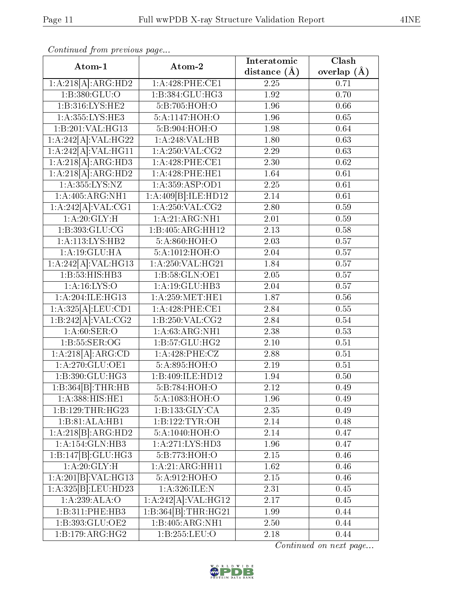| Atom-1                                 | Atom-2              | Interatomic       | Clash           |
|----------------------------------------|---------------------|-------------------|-----------------|
|                                        |                     | distance $(\AA)$  | overlap $(\AA)$ |
| $1:\overline{A:218[A]:\text{ARG:HD2}}$ | 1:A:428:PHE:CE1     | 2.25              | 0.71            |
| 1: B: 380: GLU:O                       | 1:B:384:GLU:HG3     | 1.92              | 0.70            |
| $1: B:316: LY\overline{S:HE2}$         | 5:B:705:HOH:O       | 1.96              | 0.66            |
| 1:A:355:LYS:HE3                        | 5:A:1147:HOH:O      | 1.96              | 0.65            |
| 1:B:201:VAL:HG13                       | 5:B:904:HOH:O       | 1.98              | 0.64            |
| 1:A:242[A]:VAL:HG22                    | 1:A:248:VAL:HB      | 1.80              | 0.63            |
| 1:A:242[A]:VAL:HG11                    | 1: A:250: VAL: CG2  | 2.29              | 0.63            |
| 1:A:218[A]:ARG:HD3                     | 1:A:428:PHE:CE1     | 2.30              | $0.62\,$        |
| 1:A:218[A]:ARG:HD2                     | 1: A:428: PHE: HE1  | 1.64              | 0.61            |
| 1:A:355:LYS:NZ                         | 1:A:359:ASP:OD1     | $2.25\,$          | 0.61            |
| 1: A:405: ARG: NH1                     | 1:A:409[B]:ILE:HD12 | 2.14              | 0.61            |
| 1:A:242[A]:VAL:CG1                     | 1: A:250:VAL:CG2    | 2.80              | 0.59            |
| 1: A:20: GLY:H                         | 1: A:21: ARG:NH1    | 2.01              | 0.59            |
| 1:B:393:GLU:CG                         | 1:B:405:ARG:HH12    | $\overline{2.13}$ | 0.58            |
| $1:A:113:LYS:H\overline{B2}$           | 5:A:860:HOH:O       | 2.03              | 0.57            |
| 1:A:19:GLU:HA                          | 5:A:1012:HOH:O      | $2.04\,$          | 0.57            |
| 1:A:242[A]:VAL:HG13                    | 1:A:250:VAL:HG21    | 1.84              | 0.57            |
| $1: \overline{B:53:HIS:HB3}$           | 1:B:58:GLN:OE1      | 2.05              | 0.57            |
| 1: A:16: LYS:O                         | 1:A:19:GLU:HB3      | $2.04\,$          | 0.57            |
| 1:A:204:ILE:HG13                       | 1: A:259:MET:HE1    | 1.87              | 0.56            |
| 1:A:325[A]:LEU:CD1                     | 1:A:428:PHE:CE1     | 2.84              | $0.55\,$        |
| 1:B:242[A]:VAL:CG2                     | 1:B:250:VAL:CG2     | 2.84              | 0.54            |
| 1: A:60: SER:O                         | 1: A:63: ARG: NH1   | 2.38              | 0.53            |
| 1: B: 55: SER: OG                      | 1: B: 57: GLU: HG2  | 2.10              | 0.51            |
| 1:A:218[A]:ARG:CD                      | 1:A:428:PHE:CZ      | 2.88              | 0.51            |
| 1: A:270: GLU:OE1                      | 5:A:895:HOH:O       | 2.19              | 0.51            |
| 1:B:390:GLU:HG3                        | 1:B:409:ILE:HD12    | 1.94              | 0.50            |
| 1:B:364[B]:THR:HB                      | 5:B:784:HOH:O       | 2.12              | 0.49            |
| 1: A: 388: HIS: HE1                    | 5:A:1083:HOH:O      | 1.96              | 0.49            |
| 1:B:129:THR:HG23                       | 1:B:133:GLY:CA      | 2.35              | 0.49            |
| $1:B:81:ALA:\overline{HBI}$            | 1:B:122:TYR:OH      | 2.14              | 0.48            |
| 1:A:218[B]:ARG:HD2                     | 5:A:1040:HOH:O      | 2.14              | 0.47            |
| 1: A:154: GLN:HB3                      | 1:A:271:LYS:HD3     | 1.96              | 0.47            |
| 1:B:147[B]:GLU:HG3                     | 5:B:773:HOH:O       | 2.15              | 0.46            |
| 1: A:20: GLY:H                         | 1: A:21: ARG:HH11   | 1.62              | 0.46            |
| $1:A.\overline{201[B].VAL:HG13}$       | 5:A:912:HOH:O       | 2.15              | 0.46            |
| 1:A:325[B]:LEU:HD23                    | 1:A:326:ILE:N       | 2.31              | 0.45            |
| 1:A:239:ALA:O                          | 1:A:242[A]:VAL:HG12 | 2.17              | 0.45            |
| 1:B:311:PHE:HB3                        | 1:B:364[B]:THR:HG21 | 1.99              | 0.44            |
| 1:BB:393:GLU:OE2                       | 1:B:405:ARG:NH1     | 2.50              | 0.44            |
| 1:B:179:ARG:HG2                        | 1:B:255:LEU:O       | 2.18              | 0.44            |

Continued from previous page...

Continued on next page...

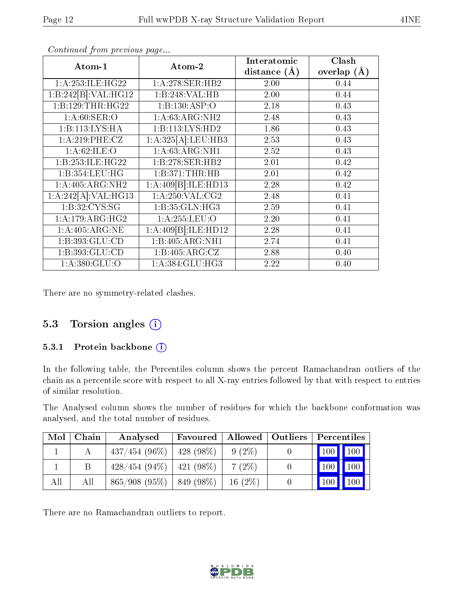| Atom-1                          | Atom-2                              | Interatomic      | Clash           |
|---------------------------------|-------------------------------------|------------------|-----------------|
|                                 |                                     | distance $(\AA)$ | overlap $(\AA)$ |
| 1: A:253: ILE: HG22             | $1: A:278:$ SER:HB2                 | 2.00             | 0.44            |
| 1:B:242[B]:VAL:H G12            | 1:B:248:VAL:HB                      | 2.00             | 0.44            |
| 1:B:129:THR:HG22                | 1:B:130:ASP:O                       | 2.18             | 0.43            |
| 1: A:60: SER:O                  | 1: A:63: ARG: NH2                   | 2.48             | 0.43            |
| 1:B:113:LYS:HA                  | 1:B:113:LYS:HD2                     | 1.86             | 0.43            |
| 1:A:219:PHE:CZ                  | 1:A:325[A]:LEU:HB3                  | 2.53             | 0.43            |
| 1: A:62: ILE: O                 | 1: A:63: ARG:NH1                    | 2.52             | 0.43            |
| 1:B:253:ILE:HG22                | 1:B:278:SER:HB2                     | 2.01             | 0.42            |
| 1:B:354:LEU:HG                  | 1:B:371:THR:HB                      | 2.01             | 0.42            |
| 1:A:405:ARG:NH2                 | 1:A:409[B]:ILE:HD13                 | 2.28             | 0.42            |
| 1:A:242[A]:VAL:HG13             | $1:A:250:\overline{\text{VAL}:CG2}$ | 2.48             | 0.41            |
| 1: B: 32: CYS: SG               | 1:B:35:GLN:HG3                      | 2.59             | 0.41            |
| $1:A:179:ARG:\overline{HG2}$    | 1: A: 255: LEU: O                   | 2.20             | 0.41            |
| 1: A:405: ARG: NE               | 1:A:409[B]:ILE:HD12                 | 2.28             | 0.41            |
| $1: B: 393: GLU: \overline{CD}$ | 1:B:405:ARG:NH1                     | 2.74             | 0.41            |
| 1:B:393:GLU:CD                  | 1:B:405:ARG:CZ                      | 2.88             | 0.40            |
| 1:A:380:GLU:O                   | 1: A: 384: GLU: HG3                 | 2.22             | 0.40            |

Continued from previous page...

There are no symmetry-related clashes.

### 5.3 Torsion angles (i)

#### 5.3.1 Protein backbone (i)

In the following table, the Percentiles column shows the percent Ramachandran outliers of the chain as a percentile score with respect to all X-ray entries followed by that with respect to entries of similar resolution.

The Analysed column shows the number of residues for which the backbone conformation was analysed, and the total number of residues.

| Mol | Chain | Analysed                        | Favoured    |           | Allowed   Outliers   Percentiles |
|-----|-------|---------------------------------|-------------|-----------|----------------------------------|
|     |       | $437/454(96\%)$                 | $428(98\%)$ | $9(2\%)$  | $\sqrt{100}$ $\sqrt{100}$        |
|     |       | $428/454 (94\%)$   $421 (98\%)$ |             | $7(2\%)$  | 100<br>100                       |
| All | All   | $865/908$ (95\%)   849 (98\%)   |             | $16(2\%)$ | 100<br>$100 \mid$                |

There are no Ramachandran outliers to report.

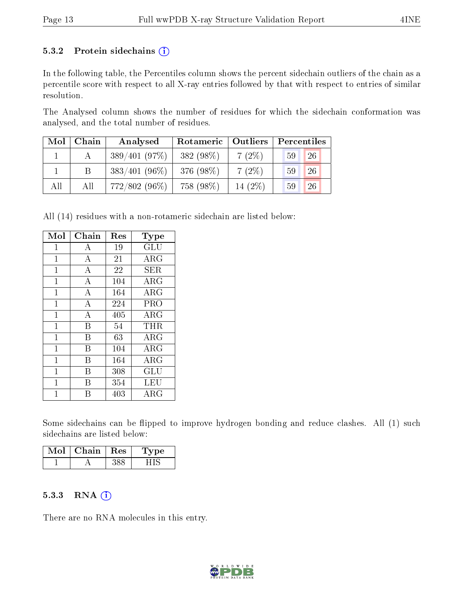#### 5.3.2 Protein sidechains  $(i)$

In the following table, the Percentiles column shows the percent sidechain outliers of the chain as a percentile score with respect to all X-ray entries followed by that with respect to entries of similar resolution.

The Analysed column shows the number of residues for which the sidechain conformation was analysed, and the total number of residues.

| Mol | Chain | Analysed         | Rotameric | $\mid$ Outliers | Percentiles |
|-----|-------|------------------|-----------|-----------------|-------------|
|     |       | 389/401(97%)     | 382 (98%) | $7(2\%)$        | 26<br>59    |
|     |       | $383/401 (96\%)$ | 376 (98%) | $7(2\%)$        | 26<br>59    |
| All | All   | 772/802 (96%)    | 758 (98%) | 14 (2%)         | 26<br>59    |

All (14) residues with a non-rotameric sidechain are listed below:

| Mol          | Chain              | Res | Type                               |
|--------------|--------------------|-----|------------------------------------|
| $\mathbf{1}$ | А                  | 19  | $\operatorname{GLU}$               |
| 1            | A                  | 21  | $\rm{ARG}$                         |
| $\mathbf{1}$ | $\bf{A}$           | 22  | SER                                |
| $\mathbf{1}$ | $\bf{A}$           | 104 | $\rm{ARG}$                         |
| $\mathbf{1}$ | $\overline{A}$     | 164 | ARG                                |
| 1            | $\bf{A}$           | 224 | PRO                                |
| $\mathbf{1}$ | $\overline{\rm A}$ | 405 | ARG                                |
| 1            | В                  | 54  | THR                                |
| $\mathbf{1}$ | В                  | 63  | ARG                                |
| 1            | В                  | 104 | ARG                                |
| 1            | В                  | 164 | ARG                                |
| 1            | В                  | 308 | $\mathrm{GL}\mathrm{\overline{U}}$ |
| 1            | R                  | 354 | LEU                                |
| 1            | R                  | 403 | $\rm{ARG}$                         |

Some sidechains can be flipped to improve hydrogen bonding and reduce clashes. All (1) such sidechains are listed below:

| Mol | Chain   Res | Type |
|-----|-------------|------|
|     |             |      |

#### $5.3.3$  RNA  $(i)$

There are no RNA molecules in this entry.

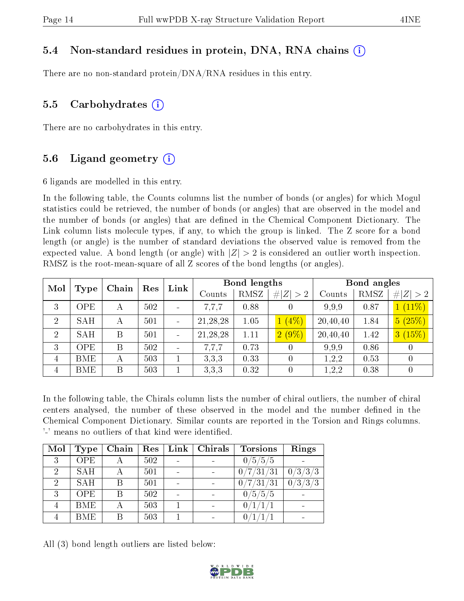### 5.4 Non-standard residues in protein, DNA, RNA chains (i)

There are no non-standard protein/DNA/RNA residues in this entry.

### 5.5 Carbohydrates  $(i)$

There are no carbohydrates in this entry.

### 5.6 Ligand geometry  $(i)$

6 ligands are modelled in this entry.

In the following table, the Counts columns list the number of bonds (or angles) for which Mogul statistics could be retrieved, the number of bonds (or angles) that are observed in the model and the number of bonds (or angles) that are dened in the Chemical Component Dictionary. The Link column lists molecule types, if any, to which the group is linked. The Z score for a bond length (or angle) is the number of standard deviations the observed value is removed from the expected value. A bond length (or angle) with  $|Z| > 2$  is considered an outlier worth inspection. RMSZ is the root-mean-square of all Z scores of the bond lengths (or angles).

| Mol            | Chain      |   | Res | Link   | Bond lengths |             |          | Bond angles |             |                  |
|----------------|------------|---|-----|--------|--------------|-------------|----------|-------------|-------------|------------------|
|                | Type       |   |     | Counts | RMSZ         | # $ Z  > 2$ | Counts   | RMSZ        | # $ Z  > 2$ |                  |
| 3              | OPE        | А | 502 |        | 7,7,7        | 0.88        |          | 9.9.9       | 0.87        | $1(11\%)$        |
| $\overline{2}$ | <b>SAH</b> | А | 501 |        | 21, 28, 28   | 1.05        | $1(4\%)$ | 20,40,40    | 1.84        | 5(25%)           |
| $\overline{2}$ | <b>SAH</b> | B | 501 |        | 21, 28, 28   | 1.11        | $2(9\%)$ | 20,40,40    | 1.42        | 3(15%)           |
| 3              | OPE        | B | 502 |        | 7.7.7        | 0.73        |          | 9.9.9       | 0.86        | 0                |
| $\overline{4}$ | <b>BME</b> | А | 503 |        | 3.3.3        | 0.33        |          | 1.2,2       | 0.53        | $\theta$         |
| $\overline{4}$ | <b>BME</b> | B | 503 |        | 3,3,3        | 0.32        | 0        | 1, 2, 2     | 0.38        | $\boldsymbol{0}$ |

In the following table, the Chirals column lists the number of chiral outliers, the number of chiral centers analysed, the number of these observed in the model and the number defined in the Chemical Component Dictionary. Similar counts are reported in the Torsion and Rings columns. '-' means no outliers of that kind were identified.

| Mol            | Type       | Chain                   | Res | $\mathop{\rm Link}\nolimits$ | <b>Chirals</b> | <b>Torsions</b> | Rings   |
|----------------|------------|-------------------------|-----|------------------------------|----------------|-----------------|---------|
| 3              | <b>OPE</b> | $\overline{\mathsf{A}}$ | 502 |                              |                | 0/5/5/5         |         |
| $2^{\circ}$    | <b>SAH</b> | А                       | 501 |                              |                | 0/7/31/31       | 0/3/3/3 |
| $\overline{2}$ | <b>SAH</b> | В                       | 501 |                              |                | 0/7/31/31       | 0/3/3/3 |
| 3              | <b>OPE</b> | B                       | 502 |                              |                | 0/5/5/5         |         |
|                | <b>BME</b> | А                       | 503 |                              |                |                 |         |
|                | <b>BME</b> | В                       | 503 |                              |                |                 |         |

All (3) bond length outliers are listed below:

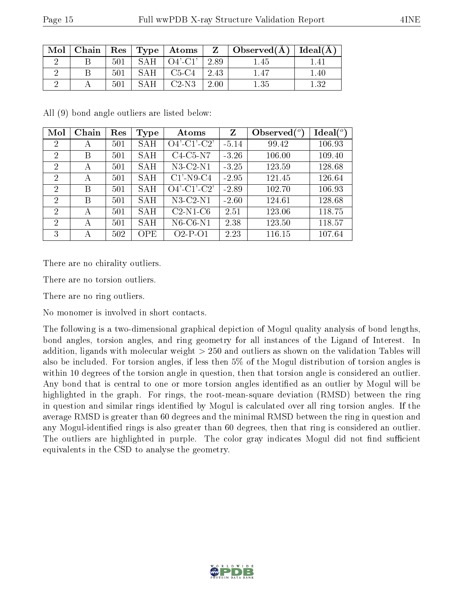|--|--|

| Mol | Chain |     |     |                   |      | $\vert$ Res $\vert$ Type $\vert$ Atoms $\vert$ Z $\vert$ Observed(A) $\vert$ Ideal(A) |          |
|-----|-------|-----|-----|-------------------|------|---------------------------------------------------------------------------------------|----------|
|     |       | 501 |     | $SAH$   $O4'-Cl'$ | 2.89 | 1.45                                                                                  |          |
|     |       | 501 | SAH | $C5-C4$           | 2.43 |                                                                                       | 1.40     |
|     |       | 501 | SAH | $C2-N3$           | 2.00 | $1.35\,$                                                                              | $1.32\,$ |

All (9) bond angle outliers are listed below:

| Mol            | Chain | Res | Type       | Atoms              | Z       | Observed $(^\circ)$ | $\text{Ideal}({}^{\circ})$ |
|----------------|-------|-----|------------|--------------------|---------|---------------------|----------------------------|
| $\overline{2}$ | А     | 501 | <b>SAH</b> | $O4'$ -C1'-C2'     | $-5.14$ | 99.42               | 106.93                     |
| $\overline{2}$ | B     | 501 | <b>SAH</b> | $C4-C5-N7$         | $-3.26$ | 106.00              | 109.40                     |
| 2              | A     | 501 | <b>SAH</b> | $N3-C2-N1$         | $-3.25$ | 123.59              | 128.68                     |
| $\overline{2}$ | А     | 501 | <b>SAH</b> | $C1'$ -N9-C4       | $-2.95$ | 121.45              | 126.64                     |
| $\overline{2}$ | B     | 501 | <b>SAH</b> | $O4'$ -C1'-C2'     | $-2.89$ | 102.70              | 106.93                     |
| 2              | B     | 501 | SAH        | $N3-C2-N1$         | $-2.60$ | 124.61              | 128.68                     |
| $\overline{2}$ | А     | 501 | <b>SAH</b> | $C2-N1-C6$         | 2.51    | 123.06              | 118.75                     |
| $\overline{2}$ | А     | 501 | <b>SAH</b> | $N6$ -C $6$ -N $1$ | 2.38    | 123.50              | 118.57                     |
| 3              | А     | 502 | <b>OPE</b> | $O2-P-O1$          | 2.23    | 116.15              | 107.64                     |

There are no chirality outliers.

There are no torsion outliers.

There are no ring outliers.

No monomer is involved in short contacts.

The following is a two-dimensional graphical depiction of Mogul quality analysis of bond lengths, bond angles, torsion angles, and ring geometry for all instances of the Ligand of Interest. In addition, ligands with molecular weight > 250 and outliers as shown on the validation Tables will also be included. For torsion angles, if less then 5% of the Mogul distribution of torsion angles is within 10 degrees of the torsion angle in question, then that torsion angle is considered an outlier. Any bond that is central to one or more torsion angles identified as an outlier by Mogul will be highlighted in the graph. For rings, the root-mean-square deviation (RMSD) between the ring in question and similar rings identified by Mogul is calculated over all ring torsion angles. If the average RMSD is greater than 60 degrees and the minimal RMSD between the ring in question and any Mogul-identified rings is also greater than 60 degrees, then that ring is considered an outlier. The outliers are highlighted in purple. The color gray indicates Mogul did not find sufficient equivalents in the CSD to analyse the geometry.

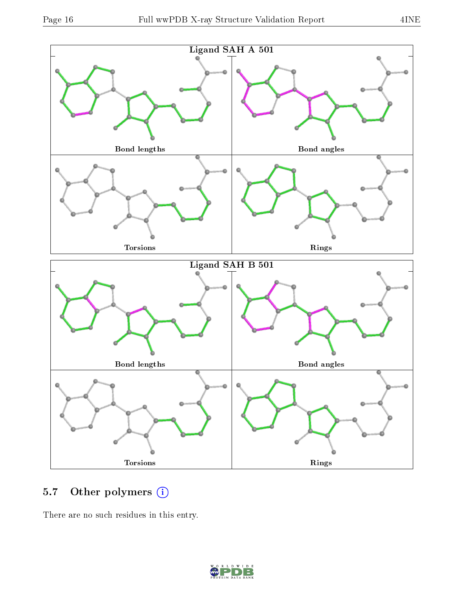

### 5.7 [O](https://www.wwpdb.org/validation/2017/XrayValidationReportHelp#nonstandard_residues_and_ligands)ther polymers (i)

There are no such residues in this entry.

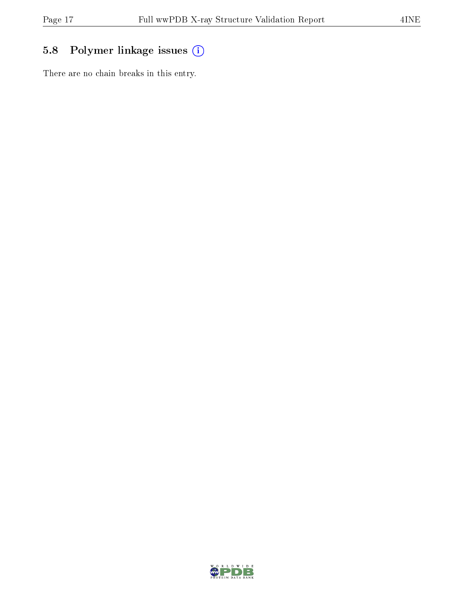## 5.8 Polymer linkage issues (i)

There are no chain breaks in this entry.

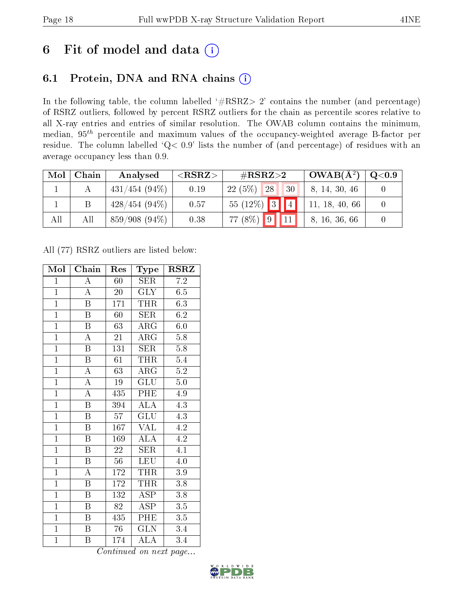# 6 Fit of model and data  $(i)$

# 6.1 Protein, DNA and RNA chains  $(i)$

In the following table, the column labelled  $#RSRZ> 2'$  contains the number (and percentage) of RSRZ outliers, followed by percent RSRZ outliers for the chain as percentile scores relative to all X-ray entries and entries of similar resolution. The OWAB column contains the minimum, median,  $95<sup>th</sup>$  percentile and maximum values of the occupancy-weighted average B-factor per residue. The column labelled ' $Q< 0.9$ ' lists the number of (and percentage) of residues with an average occupancy less than 0.9.

| Mol | Chain | Analysed         | ${ <\hspace{-1.5pt}{\mathrm{RSRZ}} \hspace{-1.5pt}>}$ | $\rm \#RSRZ{>}2$                 | $OWAB(A^2)$    | $\rm Q\textcolor{black}{<}0.9$ |
|-----|-------|------------------|-------------------------------------------------------|----------------------------------|----------------|--------------------------------|
|     |       | $431/454$ (94\%) | 0.19                                                  | 22(5%)<br>28<br>130 <sup>1</sup> | 8, 14, 30, 46  |                                |
|     | Β     | $428/454(94\%)$  | 0.57                                                  | $55(12\%)$ 3<br>$\boxed{4}$      | 11, 18, 40, 66 |                                |
| All | All   | $859/908(94\%)$  | 0.38                                                  | $77(8\%)$ 9                      | 8, 16, 36, 66  |                                |

All (77) RSRZ outliers are listed below:

| Mol            | Chain                   | Res             | Type                      | $\rm RSRZ$       |
|----------------|-------------------------|-----------------|---------------------------|------------------|
| $\mathbf{1}$   | A                       | 60              | SER                       | 7.2              |
| $\overline{1}$ | $\boldsymbol{A}$        | $20\,$          | <b>GLY</b>                | $6.5\,$          |
| $\overline{1}$ | $\overline{\mathbf{B}}$ | 171             | <b>THR</b>                | 6.3              |
| $\overline{1}$ | $\boldsymbol{B}$        | 60              | SER                       | 6.2              |
| $\overline{1}$ | $\overline{\mathrm{B}}$ | 63              | $\overline{\text{ARG}}$   | 6.0              |
| $\overline{1}$ | $\overline{\rm A}$      | 21              | $\rm{ARG}$                | $5.8\,$          |
| $\overline{1}$ | $\boldsymbol{B}$        | 131             | SER                       | $5.8\,$          |
| $\overline{1}$ | $\overline{\mathbf{B}}$ | 61              | <b>THR</b>                | 5.4              |
| $\overline{1}$ | $\overline{\rm A}$      | 63              | $\rm{ARG}$                | $5.2\,$          |
| $\overline{1}$ | $\overline{\rm A}$      | $19\,$          | $\overline{\mathrm{GLU}}$ | $\overline{5.0}$ |
| $\overline{1}$ | $\overline{\rm A}$      | 435             | PHE                       | 4.9              |
| $\overline{1}$ | $\overline{\mathrm{B}}$ | 394             | <b>ALA</b>                | 4.3              |
| $\overline{1}$ | $\overline{B}$          | 57              | GLU                       | 4.3              |
| $\overline{1}$ | $\overline{\mathrm{B}}$ | 167             | $\rm \sqrt{AL}$           | 4.2              |
| $\overline{1}$ | $\overline{\mathrm{B}}$ | 169             | $\overline{\rm ALA}$      | 4.2              |
| $\mathbf{1}$   | $\, {\bf B}$            | 22              | <b>SER</b>                | $\overline{4.1}$ |
| $\overline{1}$ | $\overline{\mathrm{B}}$ | $\overline{56}$ | LEU                       | $\overline{4.0}$ |
| $\overline{1}$ | $\boldsymbol{A}$        | 172             | <b>THR</b>                | $3.9\,$          |
| $\overline{1}$ | $\overline{\mathrm{B}}$ | 172             | <b>THR</b>                | $\overline{3}.8$ |
| $\overline{1}$ | $\overline{B}$          | 132             | $\overline{\text{ASP}}$   | 3.8              |
| $\overline{1}$ | $\boldsymbol{B}$        | $\overline{82}$ | $\overline{\rm ASP}$      | $\overline{3.5}$ |
| $\overline{1}$ | Β                       | 435             | PHE                       | 3.5              |
| $\mathbf{1}$   | $\boldsymbol{B}$        | 76              | GLN                       | 3.4              |
| $\mathbf{1}$   | Β                       | 174             | ALA                       | 3.4              |

Continued on next page...

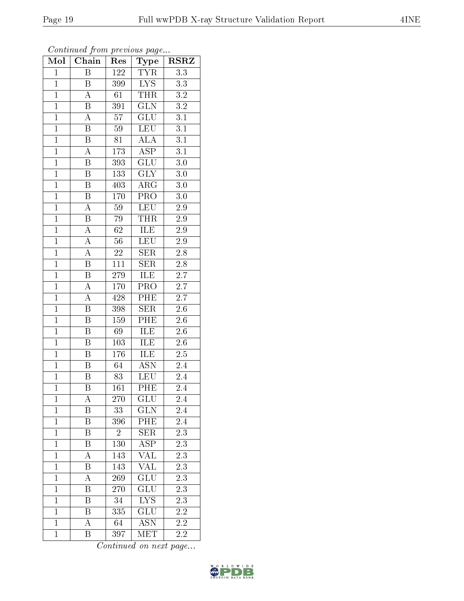| Continued from previous page |                         |                  |                           |                  |  |  |  |  |
|------------------------------|-------------------------|------------------|---------------------------|------------------|--|--|--|--|
| Mol                          | Chain                   | Res              | Type                      | <b>RSRZ</b>      |  |  |  |  |
| $\mathbf{1}$                 | B                       | $\overline{122}$ | <b>TYR</b>                | 3.3              |  |  |  |  |
| $\mathbf{1}$                 | $\boldsymbol{B}$        | 399              | $\overline{\text{LYS}}$   | 3.3              |  |  |  |  |
| $\mathbf{1}$                 | А                       | 61               | <b>THR</b>                | 3.2              |  |  |  |  |
| $\overline{1}$               | $\boldsymbol{B}$        | 391              | $\overline{\text{GLN}}$   | 3.2              |  |  |  |  |
| $\overline{1}$               | $\overline{\rm A}$      | $\overline{57}$  | $\overline{{\rm GLU}}$    | 3.1              |  |  |  |  |
| $\mathbf{1}$                 | $\boldsymbol{B}$        | 59               | <b>LEU</b>                | 3.1              |  |  |  |  |
| $\mathbf{1}$                 | $\, {\bf B}$            | 81               | ALA                       | 3.1              |  |  |  |  |
| $\mathbf{1}$                 | $\overline{\rm A}$      | 173              | <b>ASP</b>                | $\overline{3.1}$ |  |  |  |  |
| $\mathbf{1}$                 | $\boldsymbol{B}$        | 393              | GLU                       | $3.0\,$          |  |  |  |  |
| $\overline{1}$               | $\overline{\mathrm{B}}$ | 133              | $\overline{\text{GLY}}$   | $\overline{3.0}$ |  |  |  |  |
| $\mathbf{1}$                 | B                       | 403              | ARG                       | 3.0              |  |  |  |  |
| $\overline{1}$               | $\overline{\mathrm{B}}$ | 170              | $\overline{\text{PRO}}$   | 3.0              |  |  |  |  |
| $\mathbf{1}$                 | $\overline{\rm A}$      | 59               | <b>LEU</b>                | $2.9\,$          |  |  |  |  |
| $\overline{1}$               | $\overline{\mathrm{B}}$ | 79               | <b>THR</b>                | $\overline{2.9}$ |  |  |  |  |
| $\mathbf{1}$                 | $\overline{\rm A}$      | 62               | <b>ILE</b>                | 2.9              |  |  |  |  |
| $\overline{1}$               | $\boldsymbol{A}$        | 56               | <b>LEU</b>                | 2.9              |  |  |  |  |
| $\mathbf{1}$                 | $\overline{A}$          | 22               | $\overline{\text{SER}}$   | 2.8              |  |  |  |  |
| $\mathbf{1}$                 | B                       | 111              | SER                       | 2.8              |  |  |  |  |
| $\overline{1}$               | B                       | 279              | ILE                       | $2.\overline{7}$ |  |  |  |  |
| $\overline{1}$               | A                       | 170              | $\overline{\text{PRO}}$   | $\overline{2.7}$ |  |  |  |  |
| $\mathbf{1}$                 | $\overline{\rm A}$      | 428              | PHE                       | 2.7              |  |  |  |  |
| $\mathbf 1$                  | $\overline{\mathrm{B}}$ | 398              | $\overline{\text{SER}}$   | $2.6\,$          |  |  |  |  |
| $\overline{1}$               | $\overline{B}$          | 159              | $\overline{\text{PHE}}$   | 2.6              |  |  |  |  |
| $\overline{1}$               | $\overline{\mathrm{B}}$ | 69               | <b>ILE</b>                | $2.6\,$          |  |  |  |  |
| $\mathbf{1}$                 | $\overline{B}$          | 103              | ILE                       | 2.6              |  |  |  |  |
| $\mathbf{1}$                 | $\boldsymbol{B}$        | 176              | ILE                       | $2.5\,$          |  |  |  |  |
| $\overline{1}$               | $\overline{\mathrm{B}}$ | 64               | $\overline{\text{ASN}}$   | 2.4              |  |  |  |  |
| $\mathbf{1}$                 | B                       | 83               | <b>LEU</b>                | 2.4              |  |  |  |  |
| $\mathbf{1}$                 | Β                       | 161              | PHE                       | 2.4              |  |  |  |  |
| $\mathbf{1}$                 | А                       | 270              | GLU                       | 2.4              |  |  |  |  |
| $\mathbf 1$                  | Β                       | 33               | <b>GLN</b>                | 2.4              |  |  |  |  |
| $\mathbf{1}$                 | $\boldsymbol{B}$        | 396              | PHE                       | 2.4              |  |  |  |  |
| $\mathbf{1}$                 | B                       | $\overline{2}$   | SER                       | 2.3              |  |  |  |  |
| $\mathbf{1}$                 | B                       | 130              | $\overline{\rm ASP}$      | 2.3              |  |  |  |  |
| $\mathbf{1}$                 | A                       | 143              | <b>VAL</b>                | 2.3              |  |  |  |  |
| $\mathbf 1$                  | B                       | 143              | $\overline{\text{VAL}}$   | 2.3              |  |  |  |  |
| $\overline{1}$               | А                       | 269              | GLU                       | 2.3              |  |  |  |  |
| $\mathbf{1}$                 | Β                       | 270              | $\widetilde{{\rm GLU}}$   | 2.3              |  |  |  |  |
| $\mathbf{1}$                 | B                       | 34               | <b>LYS</b>                | 2.3              |  |  |  |  |
| $\mathbf{1}$                 | Β                       | 335              | $\operatorname{GLU}$      | 2.2              |  |  |  |  |
| $\mathbf{1}$                 | A                       | 64               | $\overline{\mathrm{ASN}}$ | 2.2              |  |  |  |  |

Continued on next page...

1 B 397 MET 2.2

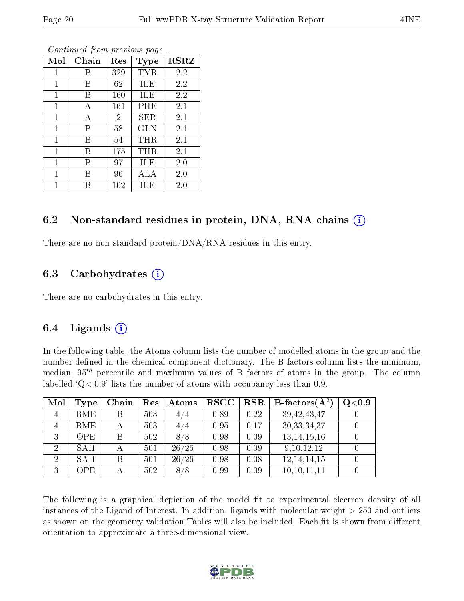| Mol          | Chain | Res            | Type       | <b>RSRZ</b> |
|--------------|-------|----------------|------------|-------------|
| 1            | В     | 329            | TYR        | 2.2         |
| 1            | В     | 62             | ILE        | 2.2         |
| 1            | В     | 160            | ILE        | 2.2         |
| 1            | А     | 161            | PHE        | $2.1\,$     |
| $\mathbf{1}$ | А     | $\overline{2}$ | SER        | 2.1         |
| 1            | В     | 58             | <b>GLN</b> | 2.1         |
| 1            | В     | 54             | THR        | 2.1         |
| 1            | В     | 175            | $\rm THR$  | 2.1         |
| 1            | В     | 97             | ILE        | 2.0         |
| 1            | В     | 96             | ALA        | 2.0         |
|              |       | 102            | ILE)       | $2.0\,$     |

Continued from previous page...

### 6.2 Non-standard residues in protein, DNA, RNA chains (i)

There are no non-standard protein/DNA/RNA residues in this entry.

### 6.3 Carbohydrates (i)

There are no carbohydrates in this entry.

### 6.4 Ligands  $(i)$

In the following table, the Atoms column lists the number of modelled atoms in the group and the number defined in the chemical component dictionary. The B-factors column lists the minimum, median,  $95<sup>th</sup>$  percentile and maximum values of B factors of atoms in the group. The column labelled  $Q < 0.9$ ' lists the number of atoms with occupancy less than 0.9.

| Mol            | Type       | Chain | Res | Atoms | <b>RSCC</b> | $_{\rm RSR}$ | B-factors $\overline{A^2}$ | Q <sub>0.9</sub> |
|----------------|------------|-------|-----|-------|-------------|--------------|----------------------------|------------------|
| $\overline{4}$ | <b>BME</b> | B     | 503 | 4/4   | 0.89        | 0.22         | 39, 42, 43, 47             |                  |
| $\overline{4}$ | <b>BME</b> |       | 503 | 4/4   | 0.95        | 0.17         | 30, 33, 34, 37             |                  |
| 3              | <b>OPE</b> | B     | 502 | 8/8   | 0.98        | 0.09         | 13, 14, 15, 16             |                  |
| 2              | <b>SAH</b> |       | 501 | 26/26 | 0.98        | 0.09         | 9, 10, 12, 12              |                  |
| $\overline{2}$ | <b>SAH</b> | B     | 501 | 26/26 | 0.98        | 0.08         | 12, 14, 14, 15             |                  |
| 3              | OPE        |       | 502 | 8/8   | 0.99        | 0.09         | 10, 10, 11, 11             |                  |

The following is a graphical depiction of the model fit to experimental electron density of all instances of the Ligand of Interest. In addition, ligands with molecular weight  $> 250$  and outliers as shown on the geometry validation Tables will also be included. Each fit is shown from different orientation to approximate a three-dimensional view.

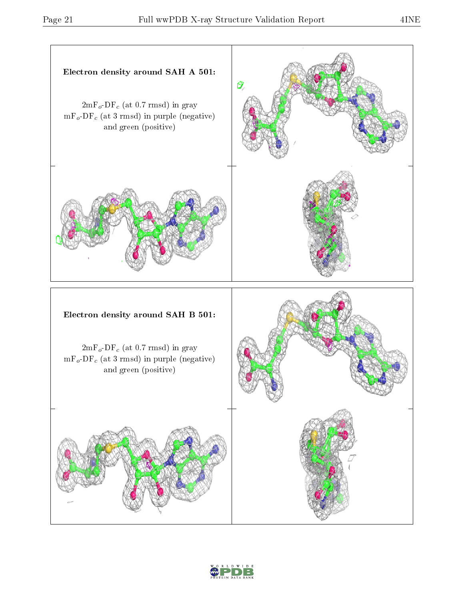